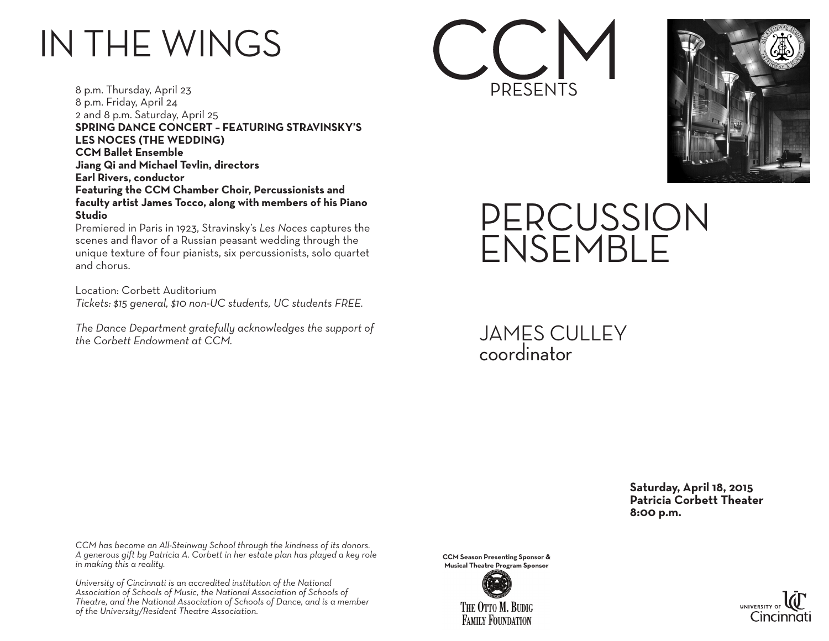## IN THE WINGS

8 p.m. Thursday, April 23 8 p.m. Friday, April 24 2 and 8 p.m. Saturday, April 25 **SPRING DANCE CONCERT – FEATURING STRAVINSKY'S LES NOCES (THE WEDDING) CCM Ballet Ensemble Jiang Qi and Michael Tevlin, directors Earl Rivers, conductor Featuring the CCM Chamber Choir, Percussionists and faculty artist James Tocco, along with members of his Piano Studio**

Premiered in Paris in 1923, Stravinsky's *Les Noces* captures the scenes and flavor of a Russian peasant wedding through the unique texture of four pianists, six percussionists, solo quartet and chorus.

Location: Corbett Auditorium *Tickets: \$15 general, \$10 non-UC students, UC students FREE.*

*The Dance Department gratefully acknowledges the support of the Corbett Endowment at CCM.*





PERCUSSION ENSEMBLE

JAMES CULLEY coordinator

> **Saturday, April 18, 2015 Patricia Corbett Theater 8:00 p.m.**

*CCM has become an All-Steinway School through the kindness of its donors. A generous gift by Patricia A. Corbett in her estate plan has played a key role in making this a reality.*

*University of Cincinnati is an accredited institution of the National Association of Schools of Music, the National Association of Schools of Theatre, and the National Association of Schools of Dance, and is a member of the University/Resident Theatre Association.*

**CCM Season Presenting Sponsor & Musical Theatre Program Sponsor**